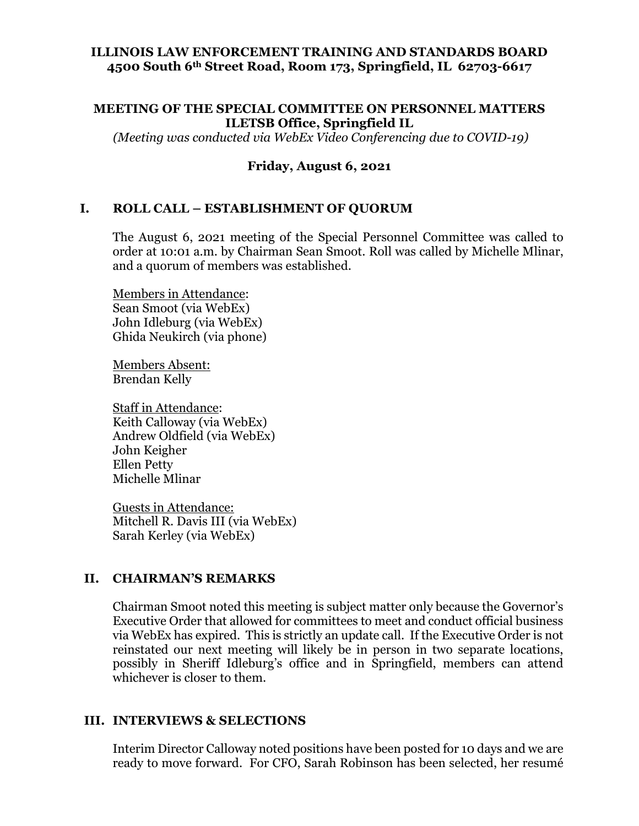### **ILLINOIS LAW ENFORCEMENT TRAINING AND STANDARDS BOARD 4500 South 6th Street Road, Room 173, Springfield, IL 62703-6617**

#### **MEETING OF THE SPECIAL COMMITTEE ON PERSONNEL MATTERS ILETSB Office, Springfield IL**

*(Meeting was conducted via WebEx Video Conferencing due to COVID-19)*

### **Friday, August 6, 2021**

#### **I. ROLL CALL – ESTABLISHMENT OF QUORUM**

The August 6, 2021 meeting of the Special Personnel Committee was called to order at 10:01 a.m. by Chairman Sean Smoot. Roll was called by Michelle Mlinar, and a quorum of members was established.

Members in Attendance: Sean Smoot (via WebEx) John Idleburg (via WebEx) Ghida Neukirch (via phone)

Members Absent: Brendan Kelly

Staff in Attendance: Keith Calloway (via WebEx) Andrew Oldfield (via WebEx) John Keigher Ellen Petty Michelle Mlinar

Guests in Attendance: Mitchell R. Davis III (via WebEx) Sarah Kerley (via WebEx)

### **II. CHAIRMAN'S REMARKS**

Chairman Smoot noted this meeting is subject matter only because the Governor's Executive Order that allowed for committees to meet and conduct official business via WebEx has expired. This is strictly an update call. If the Executive Order is not reinstated our next meeting will likely be in person in two separate locations, possibly in Sheriff Idleburg's office and in Springfield, members can attend whichever is closer to them.

#### **III. INTERVIEWS & SELECTIONS**

Interim Director Calloway noted positions have been posted for 10 days and we are ready to move forward. For CFO, Sarah Robinson has been selected, her resumé